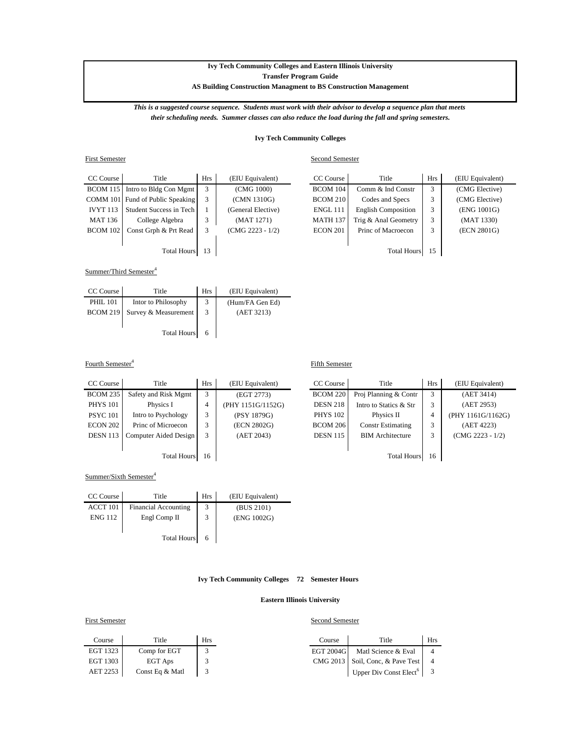# **Ivy Tech Community Colleges and Eastern Illinois University**

**Transfer Program Guide**

# **AS Building Construction Managment to BS Construction Management**

*This is a suggested course sequence. Students must work with their advisor to develop a sequence plan that meets their scheduling needs. Summer classes can also reduce the load during the fall and spring semesters.*

### **Ivy Tech Community Colleges**

| <b>First Semester</b> | <b>Second Semester</b> |
|-----------------------|------------------------|
|-----------------------|------------------------|

| CC Course       | Title                            | <b>Hrs</b> | (EIU Equivalent)   | CC Course       | Title                      | <b>Hrs</b> | (EIU Equivalent) |
|-----------------|----------------------------------|------------|--------------------|-----------------|----------------------------|------------|------------------|
| <b>BCOM 115</b> | Intro to Bldg Con Mgmt           | 3          | (CMG 1000)         | <b>BCOM 104</b> | Comm & Ind Constr          | 3          | (CMG Elective)   |
|                 | COMM 101 Fund of Public Speaking | 3          | (CMN 1310G)        | <b>BCOM 210</b> | Codes and Specs            | 3          | (CMG Elective)   |
| <b>IVYT 113</b> | Student Success in Tech          |            | (General Elective) | <b>ENGL 111</b> | <b>English Composition</b> | 3          | (ENG 1001G)      |
| <b>MAT 136</b>  | College Algebra                  | 3          | (MAT 1271)         | <b>MATH 137</b> | Trig & Anal Geometry       | 3          | (MAT 1330)       |
| <b>BCOM 102</b> | Const Grph & Prt Read            | 3          | $(CMG 2223 - 1/2)$ | ECON 201        | Princ of Macroecon         | 3          | (ECN 2801G)      |
|                 |                                  |            |                    |                 |                            |            |                  |
|                 | <b>Total Hours</b>               | 13         |                    |                 | <b>Total Hours</b>         | 15         |                  |

Summer/Third Semester<sup>4</sup>

| CC Course       | Title                | <b>Hrs</b> | (EIU Equivalent) |
|-----------------|----------------------|------------|------------------|
| <b>PHIL 101</b> | Intor to Philosophy  | 3          | (Hum/FA Gen Ed)  |
| <b>BCOM 219</b> | Survey & Measurement | 3          | (AET 3213)       |
|                 |                      |            |                  |
|                 | <b>Total Hours</b>   |            |                  |

## Fourth Semester<sup>4</sup>

| CC Course       | Title                 | <b>Hrs</b> | (EIU Equivalent)  | CC Course       | Title                    | <b>Hrs</b> | (EIU Equivalent)   |
|-----------------|-----------------------|------------|-------------------|-----------------|--------------------------|------------|--------------------|
| <b>BCOM 235</b> | Safety and Risk Mgmt  | 3          | (EGT 2773)        | <b>BCOM 220</b> | Proj Planning & Contr    | 3          | (AET 3414)         |
| <b>PHYS 101</b> | Physics I             | 4          | (PHY 1151G/1152G) | <b>DESN 218</b> | Intro to Statics & Str   | 3          | (AET 2953)         |
| <b>PSYC</b> 101 | Intro to Psychology   | 3          | (PSY 1879G)       | <b>PHYS 102</b> | Physics II               | 4          | (PHY 1161G/1162G)  |
| <b>ECON 202</b> | Princ of Microecon    | 3          | (ECN 2802G)       | <b>BCOM 206</b> | <b>Constr Estimating</b> | 3          | (AET 4223)         |
| <b>DESN 113</b> | Computer Aided Design |            | (AET 2043)        | <b>DESN 115</b> | <b>BIM</b> Architecture  | 3          | $(CMG 2223 - 1/2)$ |
|                 |                       |            |                   |                 |                          |            |                    |
|                 | <b>Total Hours</b>    | 16         |                   |                 | <b>Total Hours</b>       | 16         |                    |

Summer/Sixth Semester<sup>4</sup>

| CC Course      | Title                | Hrs | (EIU Equivalent) |
|----------------|----------------------|-----|------------------|
| ACCT 101       | Financial Accounting | 3   | (BUS 2101)       |
| <b>ENG 112</b> | Engl Comp II         | 3   | (ENG 1002G)      |
|                |                      |     |                  |
|                | <b>Total Hours</b>   |     |                  |

### **Ivy Tech Community Colleges 72 Semester Hours**

### **Eastern Illinois University**

### First Semester Second Semester

| Course   | Title           | Hrs | Course    | Title                                                                                   | Hrs |
|----------|-----------------|-----|-----------|-----------------------------------------------------------------------------------------|-----|
| EGT 1323 | Comp for EGT    |     | EGT 2004G | Matl Science & Eval                                                                     |     |
| EGT 1303 | <b>EGT Aps</b>  |     |           | CMG 2013   Soil, Conc, & Pave Test                                                      |     |
| AET 2253 | Const Eq & Matl |     |           | Upper Div Const Elect <sup>6</sup> $\begin{array}{ c c } \hline 3 \\\hline \end{array}$ |     |

# Fifth Semester